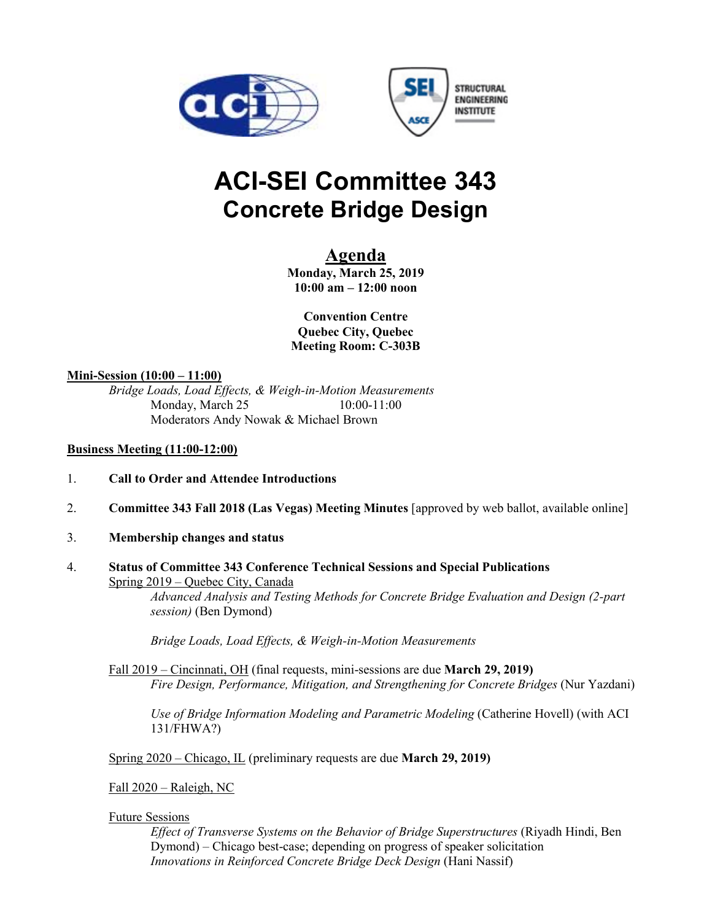



# **ACI-SEI Committee 343 Concrete Bridge Design**

# **Agenda**

**Monday, March 25, 2019 10:00 am – 12:00 noon** 

**Convention Centre Quebec City, Quebec Meeting Room: C-303B** 

### **Mini-Session (10:00 – 11:00)**

*Bridge Loads, Load Effects, & Weigh-in-Motion Measurements* Monday, March 25 10:00-11:00 Moderators Andy Nowak & Michael Brown

#### **Business Meeting (11:00-12:00)**

- 1. **Call to Order and Attendee Introductions**
- 2. **Committee 343 Fall 2018 (Las Vegas) Meeting Minutes** [approved by web ballot, available online]
- 3. **Membership changes and status**
- 4. **Status of Committee 343 Conference Technical Sessions and Special Publications** Spring 2019 – Quebec City, Canada

*Advanced Analysis and Testing Methods for Concrete Bridge Evaluation and Design (2-part session)* (Ben Dymond)

*Bridge Loads, Load Effects, & Weigh-in-Motion Measurements*

Fall 2019 – Cincinnati, OH (final requests, mini-sessions are due **March 29, 2019)** *Fire Design, Performance, Mitigation, and Strengthening for Concrete Bridges* (Nur Yazdani)

*Use of Bridge Information Modeling and Parametric Modeling* (Catherine Hovell) (with ACI 131/FHWA?)

Spring 2020 – Chicago, IL (preliminary requests are due **March 29, 2019)**

Fall 2020 – Raleigh, NC

#### Future Sessions

*Effect of Transverse Systems on the Behavior of Bridge Superstructures* (Riyadh Hindi, Ben Dymond) – Chicago best-case; depending on progress of speaker solicitation *Innovations in Reinforced Concrete Bridge Deck Design* (Hani Nassif)